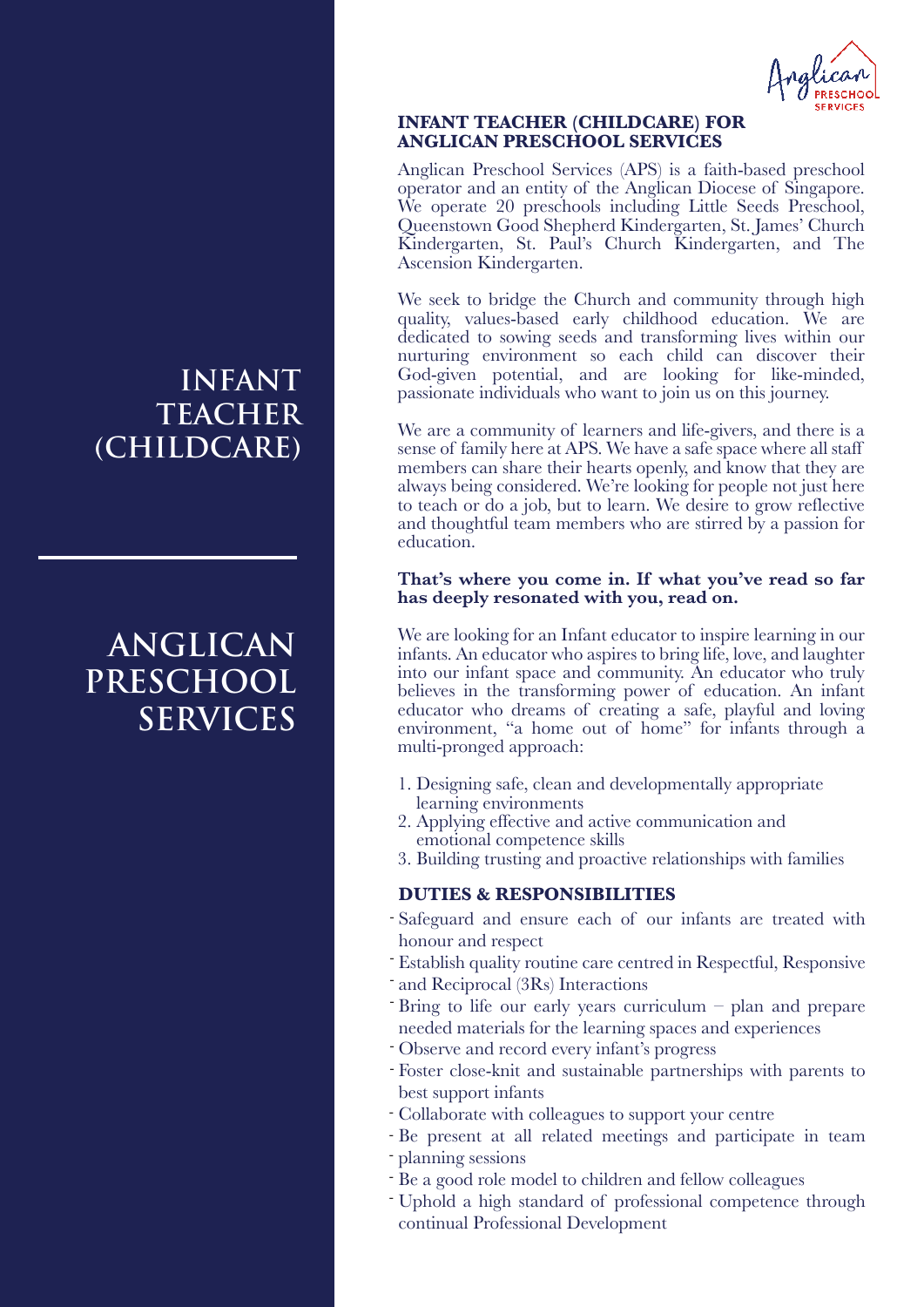

### **INFANT TEACHER (CHILDCARE) FOR ANGLICAN PRESCHOOL SERVICES**

Anglican Preschool Services (APS) is a faith-based preschool operator and an entity of the Anglican Diocese of Singapore. We operate 20 preschools including Little Seeds Preschool, Queenstown Good Shepherd Kindergarten, St. James' Church Kindergarten, St. Paul's Church Kindergarten, and The Ascension Kindergarten.

We seek to bridge the Church and community through high quality, values-based early childhood education. We are dedicated to sowing seeds and transforming lives within our nurturing environment so each child can discover their God-given potential, and are looking for like-minded, passionate individuals who want to join us on this journey.

We are a community of learners and life-givers, and there is a sense of family here at APS. We have a safe space where all staff members can share their hearts openly, and know that they are always being considered. We're looking for people not just here to teach or do a job, but to learn. We desire to grow reflective and thoughtful team members who are stirred by a passion for education.

### **That's where you come in. If what you've read so far has deeply resonated with you, read on.**

We are looking for an Infant educator to inspire learning in our infants. An educator who aspires to bring life, love, and laughter into our infant space and community. An educator who truly believes in the transforming power of education. An infant educator who dreams of creating a safe, playful and loving environment, "a home out of home" for infants through a multi-pronged approach:

- 1. Designing safe, clean and developmentally appropriate learning environments
- 2. Applying effective and active communication and emotional competence skills
- 3. Building trusting and proactive relationships with families

## **DUTIES & RESPONSIBILITIES**

- Safeguard and ensure each of our infants are treated with honour and respect
- Establish quality routine care centred in Respectful, Responsive -
- and Reciprocal (3Rs) Interactions
- Bring to life our early years curriculum plan and prepare needed materials for the learning spaces and experiences
- Observe and record every infant's progress
- Foster close-knit and sustainable partnerships with parents to best support infants
- Collaborate with colleagues to support your centre
- Be present at all related meetings and participate in team - planning sessions
- Be a good role model to children and fellow colleagues
- Uphold a high standard of professional competence through continual Professional Development

## **INFANT TEACHER (CHILDCARE)**

# **ANGLICAN PRESCHOOL SERVICES**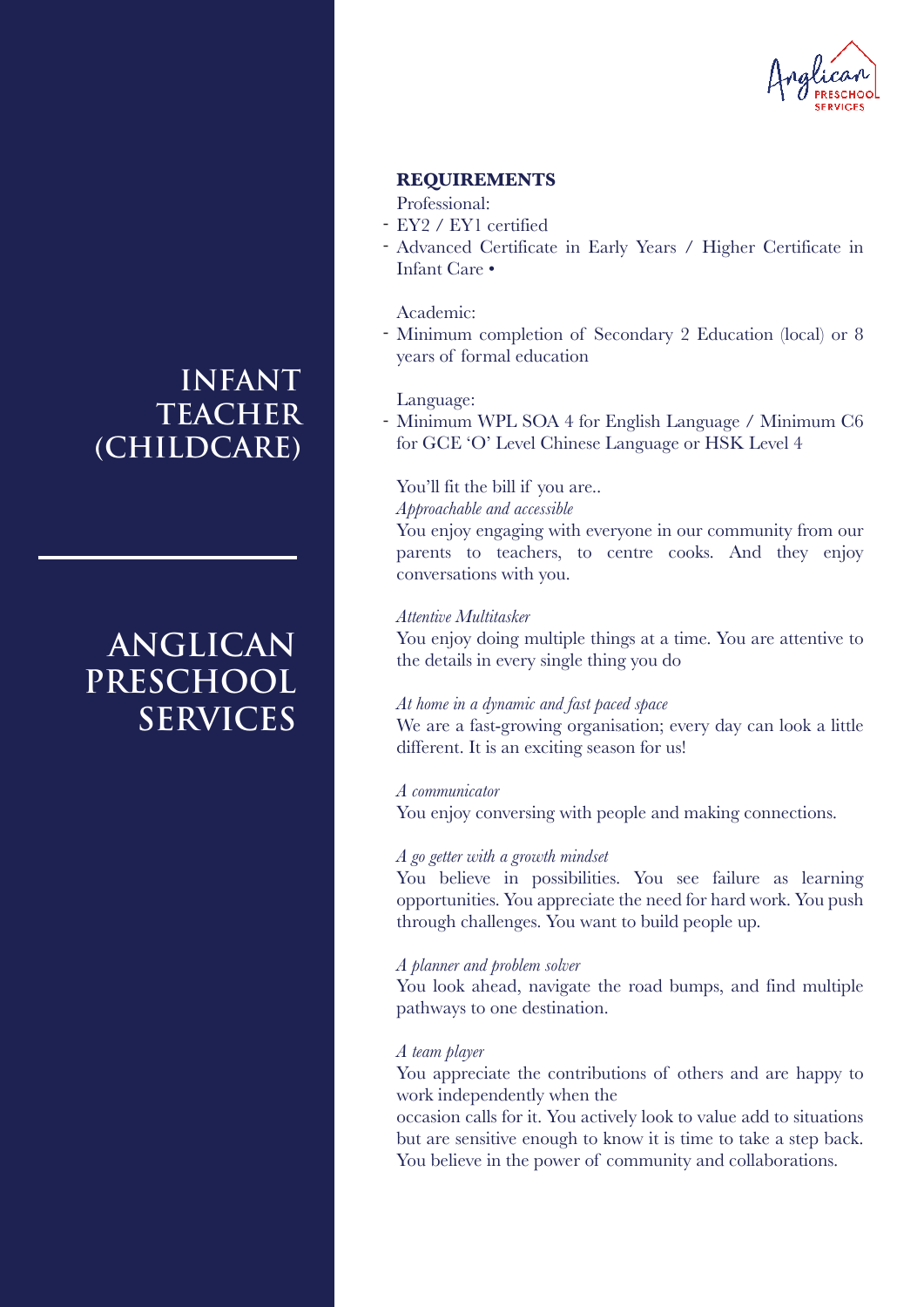

## **REQUIREMENTS**

### Professional:

- EY2 / EY1 certified
- Advanced Certificate in Early Years / Higher Certificate in Infant Care •

### Academic:

- Minimum completion of Secondary 2 Education (local) or 8 years of formal education

#### Language:

- Minimum WPL SOA 4 for English Language / Minimum C6 for GCE 'O' Level Chinese Language or HSK Level 4

### You'll fit the bill if you are..

*Approachable and accessible*

You enjoy engaging with everyone in our community from our parents to teachers, to centre cooks. And they enjoy conversations with you.

#### *Attentive Multitasker*

You enjoy doing multiple things at a time. You are attentive to the details in every single thing you do

#### *At home in a dynamic and fast paced space*

We are a fast-growing organisation; every day can look a little different. It is an exciting season for us!

## *A communicator*

You enjoy conversing with people and making connections.

#### *A go getter with a growth mindset*

You believe in possibilities. You see failure as learning opportunities. You appreciate the need for hard work. You push through challenges. You want to build people up.

## *A planner and problem solver*

You look ahead, navigate the road bumps, and find multiple pathways to one destination.

#### *A team player*

You appreciate the contributions of others and are happy to work independently when the

occasion calls for it. You actively look to value add to situations but are sensitive enough to know it is time to take a step back. You believe in the power of community and collaborations.

## **INFANT TEACHER (CHILDCARE)**

# **ANGLICAN PRESCHOOL SERVICES**